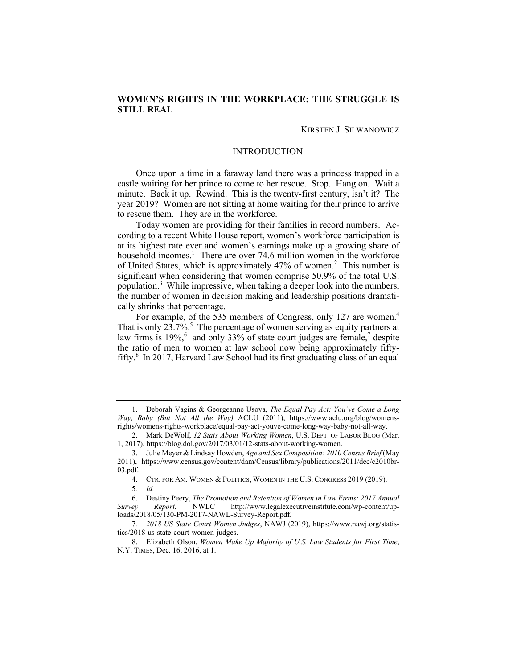# **WOMEN'S RIGHTS IN THE WORKPLACE: THE STRUGGLE IS STILL REAL**

KIRSTEN J. SILWANOWICZ

#### INTRODUCTION

 Once upon a time in a faraway land there was a princess trapped in a castle waiting for her prince to come to her rescue. Stop. Hang on. Wait a minute. Back it up. Rewind. This is the twenty-first century, isn't it? The to rescue them. They are in the workforce. year 2019? Women are not sitting at home waiting for their prince to arrive

 Today women are providing for their families in record numbers. Ac- cording to a recent White House report, women's workforce participation is at its highest rate ever and women's earnings make up a growing share of household incomes.<sup>1</sup> There are over 74.6 million women in the workforce of United States, which is approximately 47% of women. 2 This number is significant when considering that women comprise 50.9% of the total U.S. population. 3 While impressive, when taking a deeper look into the numbers, the number of women in decision making and leadership positions dramati-cally shrinks that percentage.

For example, of the 535 members of Congress, only 127 are women.<sup>4</sup> That is only  $23.7\%$ <sup>5</sup>. The percentage of women serving as equity partners at law firms is  $19\%,$ <sup>6</sup> and only 33% of state court judges are female,<sup>7</sup> despite the ratio of men to women at law school now being approximately fifty-fifty. 8 In 2017, Harvard Law School had its first graduating class of an equal

 *Way, Baby (But Not All the Way)* ACLU (2011), <https://www.aclu.org/blog/womens>-1. Deborah Vagins & Georgeanne Usova, *The Equal Pay Act: You've Come a Long*  rights/womens-rights-workplace/equal-pay-act-youve-come-long-way-baby-not-all-way.

<sup>2.</sup> Mark DeWolf, *12 Stats About Working Women*, U.S. DEPT. OF LABOR BLOG (Mar. 1, 2017), [https://blog.dol.gov/2017/03/01/12-stats-about-working-women.](https://blog.dol.gov/2017/03/01/12-stats-about-working-women)

<sup>3.</sup> Julie Meyer & Lindsay Howden, *Age and Sex Composition: 2010 Census Brief* (May 2011), <https://www.census.gov/content/dam/Census/library/publications/2011/dec/c2010br>-03.pdf.

<sup>4.</sup> CTR. FOR AM. WOMEN & POLITICS, WOMEN IN THE U.S. CONGRESS 2019 (2019). 5*. Id.* 

<sup>6.</sup> Destiny Peery, *The Promotion and Retention of Women in Law Firms: 2017 Annual Survey Report*, NWLC <http://www.legalexecutiveinstitute.com/wp-content/up>loads/2018/05/130-PM-2017-NAWL-Survey-Report.pdf.

<sup>7</sup>*. 2018 US State Court Women Judges*, NAWJ (2019), <https://www.nawj.org/statis>tics/2018-us-state-court-women-judges.

 N.Y. TIMES, Dec. 16, 2016, at 1. 8. Elizabeth Olson, *Women Make Up Majority of U.S. Law Students for First Time*,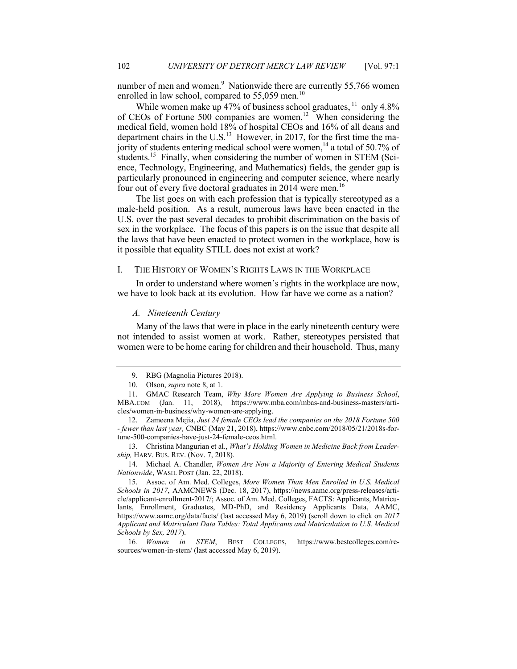number of men and women.<sup>9</sup> Nationwide there are currently 55,766 women enrolled in law school, compared to  $55,059$  men.<sup>10</sup>

While women make up 47% of business school graduates,  $11$  only 4.8% of CEOs of Fortune 500 companies are women, 12 When considering the medical field, women hold 18% of hospital CEOs and 16% of all deans and department chairs in the U.S.<sup>13</sup> However, in 2017, for the first time the majority of students entering medical school were women,<sup>14</sup> a total of 50.7% of students.<sup>15</sup> Finally, when considering the number of women in STEM (Sci- ence, Technology, Engineering, and Mathematics) fields, the gender gap is particularly pronounced in engineering and computer science, where nearly four out of every five doctoral graduates in 2014 were men.<sup>16</sup>

 The list goes on with each profession that is typically stereotyped as a male-held position. As a result, numerous laws have been enacted in the U.S. over the past several decades to prohibit discrimination on the basis of sex in the workplace. The focus of this papers is on the issue that despite all the laws that have been enacted to protect women in the workplace, how is it possible that equality STILL does not exist at work?

## I. THE HISTORY OF WOMEN'S RIGHTS LAWS IN THE WORKPLACE

 In order to understand where women's rights in the workplace are now, we have to look back at its evolution. How far have we come as a nation?

## *A. Nineteenth Century*

 Many of the laws that were in place in the early nineteenth century were women were to be home caring for children and their household. Thus, many not intended to assist women at work. Rather, stereotypes persisted that

 *ship,* HARV. BUS. REV. (Nov. 7, 2018). 13. Christina Mangurian et al., *What's Holding Women in Medicine Back from Leader-*

14. Michael A. Chandler, *Women Are Now a Majority of Entering Medical Students Nationwide*, WASH. POST (Jan. 22, 2018).

<sup>9.</sup> RBG (Magnolia Pictures 2018).

<sup>10.</sup> Olson, *supra* note 8, at 1.

<sup>11.</sup> GMAC Research Team, *Why More Women Are Applying to Business School*, MBA.COM (Jan. 11, 2018), <https://www.mba.com/mbas-and-business-masters/arti>cles/women-in-business/why-women-are-applying.

 *- fewer than last year,* CNBC (May 21, 2018), <https://www.cnbc.com/2018/05/21/2018s-for>-12. Zameena Mejia, *Just 24 female CEOs lead the companies on the 2018 Fortune 500*  tune-500-companies-have-just-24-female-ceos.html.

 <https://www.aamc.org/data/facts>/ (last accessed May 6, 2019) (scroll down to click on *2017 Applicant and Matriculant Data Tables: Total Applicants and Matriculation to U.S. Medical*  15. Assoc. of Am. Med. Colleges, *More Women Than Men Enrolled in U.S. Medical Schools in 2017*, AAMCNEWS (Dec. 18, 2017), <https://news.aamc.org/press-releases/arti>cle/applicant-enrollment-2017/; Assoc. of Am. Med. Colleges, FACTS: Applicants, Matriculants, Enrollment, Graduates, MD-PhD, and Residency Applicants Data, AAMC, *Schools by Sex, 2017*).

<sup>16</sup>*. Women in STEM*, BEST COLLEGES, <https://www.bestcolleges.com/re>sources/women-in-stem/ (last accessed May 6, 2019).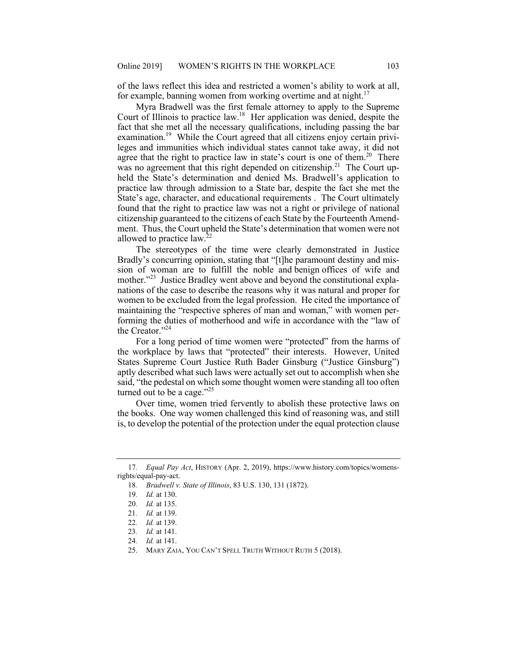of the laws reflect this idea and restricted a women's ability to work at all, for example, banning women from working overtime and at night. $17$ 

 Myra Bradwell was the first female attorney to apply to the Supreme Court of Illinois to practice law.<sup>18</sup> Her application was denied, despite the fact that she met all the necessary qualifications, including passing the bar [examination.](https://examination.19)<sup>19</sup> While the Court agreed that all citizens enjoy certain privi- leges and immunities which individual states cannot take away, it did not agree that the right to practice law in state's court is one of them.<sup>20</sup> There was no agreement that this right depended on citizenship.<sup>21</sup> The Court up- held the State's determination and denied Ms. Bradwell's application to State's age, character, and educational requirements . The Court ultimately found that the right to practice law was not a right or privilege of national citizenship guaranteed to the citizens of each State by the Fourteenth Amend- ment. Thus, the Court upheld the State's determination that women were not practice law through admission to a State bar, despite the fact she met the allowed to practice law.22

 The stereotypes of the time were clearly demonstrated in Justice Bradly's concurring opinion, stating that "[t]he paramount destiny and mis- sion of woman are to fulfill the noble and benign offices of wife and mother."<sup>23</sup> Justice Bradley went above and beyond the constitutional expla- nations of the case to describe the reasons why it was natural and proper for women to be excluded from the legal profession. He cited the importance of maintaining the "respective spheres of man and woman," with women per- forming the duties of motherhood and wife in accordance with the "law of the Creator."24

 For a long period of time women were "protected" from the harms of the workplace by laws that "protected" their interests. However, United aptly described what such laws were actually set out to accomplish when she turned out to be a cage."<sup>25</sup> States Supreme Court Justice Ruth Bader Ginsburg ("Justice Ginsburg") said, "the pedestal on which some thought women were standing all too often

 Over time, women tried fervently to abolish these protective laws on the books. One way women challenged this kind of reasoning was, and still is, to develop the potential of the protection under the equal protection clause

<sup>17</sup>*. Equal Pay Act*, HISTORY (Apr. 2, 2019), <https://www.history.com/topics/womens>rights/equal-pay-act.

<sup>18</sup>*. Bradwell v. State of Illinois*, 83 U.S. 130, 131 (1872).

<sup>19</sup>*. Id.* at 130.

<sup>20</sup>*. Id.* at 135.

<sup>21</sup>*. Id.* at 139.

<sup>22</sup>*. Id.* at 139.

<sup>23</sup>*. Id.* at 141.

<sup>24</sup>*. Id.* at 141.

<sup>25.</sup> MARY ZAIA, YOU CAN'T SPELL TRUTH WITHOUT RUTH 5 (2018).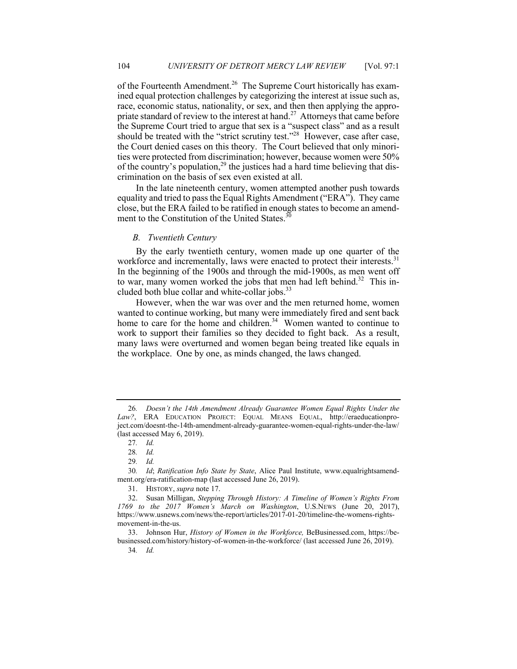of the Fourteenth Amendment.<sup>26</sup> The Supreme Court historically has exam- ined equal protection challenges by categorizing the interest at issue such as, race, economic status, nationality, or sex, and then then applying the appropriate standard of review to the interest at hand.<sup>27</sup> Attorneys that came before the Supreme Court tried to argue that sex is a "suspect class" and as a result should be treated with the "strict scrutiny test."<sup>28</sup> However, case after case, the Court denied cases on this theory. The Court believed that only minoriof the country's population,<sup>29</sup> the justices had a hard time believing that dis- crimination on the basis of sex even existed at all. ties were protected from discrimination; however, because women were 50%

 In the late nineteenth century, women attempted another push towards equality and tried to pass the Equal Rights Amendment ("ERA"). They came close, but the ERA failed to be ratified in enough states to become an amendment to the Constitution of the United States.<sup>30</sup>

## *B. Twentieth Century*

 By the early twentieth century, women made up one quarter of the workforce and incrementally, laws were enacted to protect their [interests.](https://interests.31)<sup>31</sup> In the beginning of the 1900s and through the mid-1900s, as men went off to war, many women worked the jobs that men had left [behind.](https://behind.32)<sup>32</sup> This included both blue collar and white-collar jobs.<sup>33</sup>

 However, when the war was over and the men returned home, women wanted to continue working, but many were immediately fired and sent back home to care for the home and [children.](https://children.34)<sup>34</sup> Women wanted to continue to work to support their families so they decided to fight back. As a result, the workplace. One by one, as minds changed, the laws changed. many laws were overturned and women began being treated like equals in

<sup>26</sup>*. Doesn't the 14th Amendment Already Guarantee Women Equal Rights Under the Law?*, ERA EDUCATION PROJECT: EQUAL MEANS EQUAL, <http://eraeducationpro>[ject.com/doesnt-the-14th-amendment-already-guarantee-women-equal-rights-under-the-law](https://ject.com/doesnt-the-14th-amendment-already-guarantee-women-equal-rights-under-the-law)/ (last accessed May 6, 2019).

<sup>27</sup>*. Id.* 

<sup>28</sup>*. Id.* 

<sup>29</sup>*. Id.* 

<sup>30</sup>*. Id*; *Ratification Info State by State*, Alice Paul Institute, <www.equalrightsamend>[ment.org/era-ratification-map](https://ment.org/era-ratification-map) (last accessed June 26, 2019).

<sup>31.</sup> HISTORY, *supra* note 17.

 *1769 to the 2017 Women's March on Washington*, U.S.NEWS (June 20, 2017), 32. Susan Milligan, *Stepping Through History: A Timeline of Women's Rights From*  <https://www.usnews.com/news/the-report/articles/2017-01-20/timeline-the-womens-rights>movement-in-the-us.

<sup>33.</sup> Johnson Hur, *History of Women in the Workforce,* [BeBusinessed.com](https://BeBusinessed.com), <https://be>[businessed.com/history/history-of-women-in-the-workforce/](https://businessed.com/history/history-of-women-in-the-workforce) (last accessed June 26, 2019).

<sup>34</sup>*. Id.*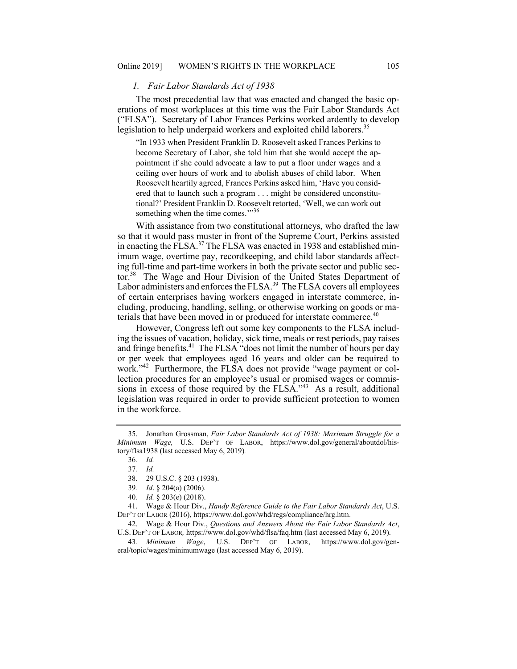## *1. Fair Labor Standards Act of 1938*

 The most precedential law that was enacted and changed the basic op- erations of most workplaces at this time was the Fair Labor Standards Act ("FLSA"). Secretary of Labor Frances Perkins worked ardently to develop legislation to help underpaid workers and exploited child [laborers.](https://laborers.35) 35

 "In 1933 when President Franklin D. Roosevelt asked Frances Perkins to become Secretary of Labor, she told him that she would accept the ap- pointment if she could advocate a law to put a floor under wages and a Roosevelt heartily agreed, Frances Perkins asked him, 'Have you consid- ered that to launch such a program . . . might be considered unconstitu- tional?' President Franklin D. Roosevelt retorted, 'Well, we can work out something when the time comes."<sup>36</sup> ceiling over hours of work and to abolish abuses of child labor. When

 With assistance from two constitutional attorneys, who drafted the law so that it would pass muster in front of the Supreme Court, Perkins assisted in enacting the FLSA.<sup>37</sup> The FLSA was enacted in 1938 and established min- imum wage, overtime pay, recordkeeping, and child labor standards affect- ing full-time and part-time workers in both the private sector and public sector.<sup>38</sup> The Wage and Hour Division of the United States Department of Labor administers and enforces the FLSA.<sup>39</sup> The FLSA covers all employees cluding, producing, handling, selling, or otherwise working on goods or materials that have been moved in or produced for interstate commerce.<sup>40</sup> of certain enterprises having workers engaged in interstate commerce, in-

 However, Congress left out some key components to the FLSA includ- ing the issues of vacation, holiday, sick time, meals or rest periods, pay raises and fringe benefits.<sup>41</sup> The FLSA "does not limit the number of hours per day or per week that employees aged 16 years and older can be required to work."<sup>42</sup> Furthermore, the FLSA does not provide "wage payment or colsions in excess of those required by the FLSA. $143$  As a result, additional lection procedures for an employee's usual or promised wages or commislegislation was required in order to provide sufficient protection to women in the workforce.

41. Wage & Hour Div., *Handy Reference Guide to the Fair Labor Standards Act*, U.S. DEP'T OF LABOR (2016),<https://www.dol.gov/whd/regs/compliance/hrg.htm>.

43*. Minimum Wage*, U.S. DEP'T OF LABOR, <https://www.dol.gov/gen>eral/topic/wages/minimumwage (last accessed May 6, 2019).

<sup>35.</sup> Jonathan Grossman, *Fair Labor Standards Act of 1938: Maximum Struggle for a Minimum Wage,* U.S. DEP'T OF LABOR, <https://www.dol.gov/general/aboutdol/his>tory/flsa1938 (last accessed May 6, 2019)*.* 

<sup>36</sup>*. Id.* 

<sup>37</sup>*. Id.* 

<sup>38. 29</sup> U.S.C. § 203 (1938).

<sup>39</sup>*. Id*. § 204(a) (2006)*.* 

<sup>40</sup>*. Id.* § 203(e) (2018).

<sup>42.</sup> Wage & Hour Div., *Questions and Answers About the Fair Labor Standards Act*, U.S. DEP'T OF LABOR*,* <https://www.dol.gov/whd/flsa/faq.htm> (last accessed May 6, 2019).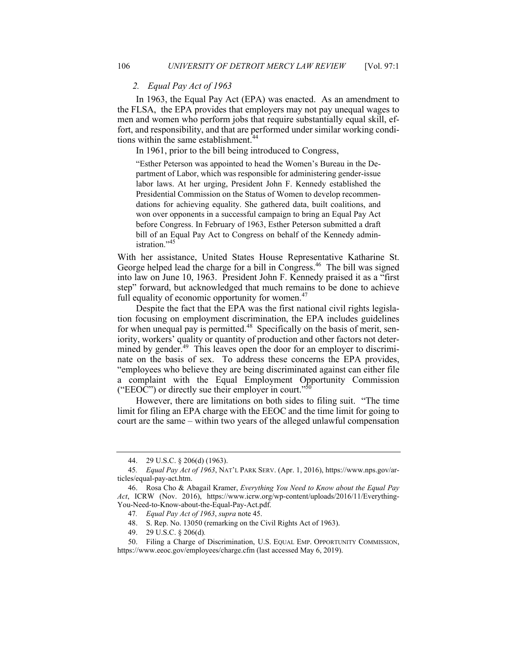## *2. Equal Pay Act of 1963*

 In 1963, the Equal Pay Act (EPA) was enacted. As an amendment to the FLSA, the EPA provides that employers may not pay unequal wages to men and women who perform jobs that require substantially equal skill, ef- fort, and responsibility, and that are performed under similar working conditions within the same [establishment.](https://establishment.44)<sup>44</sup>

In 1961, prior to the bill being introduced to Congress,

 partment of Labor, which was responsible for administering gender-issue labor laws. At her urging, President John F. Kennedy established the Presidential Commission on the Status of Women to develop recommen- dations for achieving equality. She gathered data, built coalitions, and won over opponents in a successful campaign to bring an Equal Pay Act before Congress. In February of 1963, Esther Peterson submitted a draft bill of an Equal Pay Act to Congress on behalf of the Kennedy administration."<sup>45</sup> "Esther Peterson was appointed to head the Women's Bureau in the De-

 With her assistance, United States House Representative Katharine St. George helped lead the charge for a bill in [Congress.](https://Congress.46)<sup>46</sup> The bill was signed into law on June 10, 1963. President John F. Kennedy praised it as a "first step" forward, but acknowledged that much remains to be done to achieve full equality of economic opportunity for [women.](https://women.47) $47$ 

 Despite the fact that the EPA was the first national civil rights legisla- tion focusing on employment discrimination, the EPA includes guidelines for when unequal pay is [permitted.](https://permitted.48)<sup>48</sup> Specifically on the basis of merit, sen- iority, workers' quality or quantity of production and other factors not determined by gender.<sup>49</sup> This leaves open the door for an employer to discrimi- nate on the basis of sex. To address these concerns the EPA provides, "employees who believe they are being discriminated against can either file ("EEOC") or directly sue their employer in court."<sup>50</sup> a complaint with the Equal Employment Opportunity Commission

 However, there are limitations on both sides to filing suit. "The time limit for filing an EPA charge with the EEOC and the time limit for going to court are the same – within two years of the alleged unlawful compensation

<sup>44. 29</sup> U.S.C. § 206(d) (1963).

<sup>45</sup>*. Equal Pay Act of 1963*, NAT'L PARK SERV. (Apr. 1, 2016), <https://www.nps.gov/ar>ticles/equal-pay-act.htm.

 *Act*, ICRW (Nov. 2016), <https://www.icrw.org/wp-content/uploads/2016/11/Everything>-46. Rosa Cho & Abagail Kramer, *Everything You Need to Know about the Equal Pay*  You-Need-to-Know-about-the-Equal-Pay-Act.pdf.

<sup>47</sup>*. Equal Pay Act of 1963*, *supra* note 45.

<sup>48.</sup> S. Rep. No. 13050 (remarking on the Civil Rights Act of 1963).

<sup>49. 29</sup> U.S.C. § 206(d)*.* 

<sup>50.</sup> Filing a Charge of Discrimination, U.S. EQUAL EMP. OPPORTUNITY COMMISSION, <https://www.eeoc.gov/employees/charge.cfm>(last accessed May 6, 2019).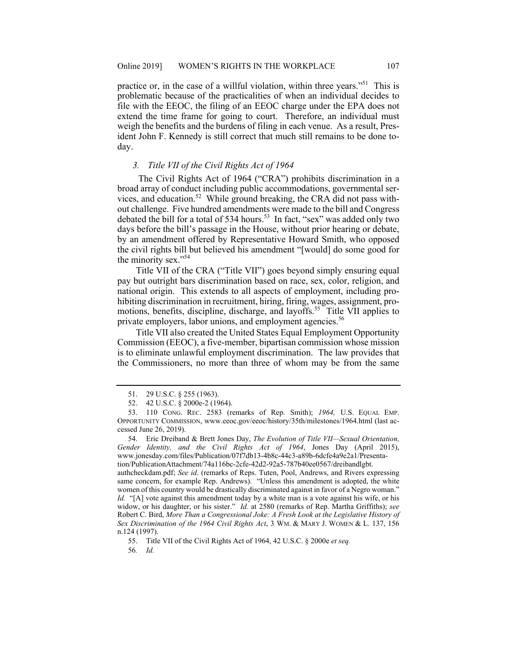practice or, in the case of a willful violation, within three years."<sup>51</sup> This is problematic because of the practicalities of when an individual decides to file with the EEOC, the filing of an EEOC charge under the EPA does not extend the time frame for going to court. Therefore, an individual must weigh the benefits and the burdens of filing in each venue. As a result, Pres- ident John F. Kennedy is still correct that much still remains to be done today.

## *3. Title VII of the Civil Rights Act of 1964*

 The Civil Rights Act of 1964 ("CRA") prohibits discrimination in a broad array of conduct including public accommodations, governmental services, and education.<sup>52</sup> While ground breaking, the CRA did not pass with- out challenge. Five hundred amendments were made to the bill and Congress debated the bill for a total of 534 [hours.](https://hours.53)<sup>53</sup> In fact, "sex" was added only two days before the bill's passage in the House, without prior hearing or debate, the civil rights bill but believed his amendment "[would] do some good for by an amendment offered by Representative Howard Smith, who opposed the minority sex."<sup>54</sup>

 pay but outright bars discrimination based on race, sex, color, religion, and national origin. This extends to all aspects of employment, including pro- hibiting discrimination in recruitment, hiring, firing, wages, assignment, pro- motions, benefits, discipline, discharge, and [layoffs.](https://layoffs.55) 55 Title VII applies to Title VII of the CRA ("Title VII") goes beyond simply ensuring equal private employers, labor unions, and employment [agencies.](https://agencies.56)<sup>56</sup>

 Title VII also created the United States Equal Employment Opportunity Commission (EEOC), a five-member, bipartisan commission whose mission is to eliminate unlawful employment discrimination. The law provides that the Commissioners, no more than three of whom may be from the same

 women of this country would be drastically discriminated against in favor of a Negro woman." *Id.* "[A] vote against this amendment today by a white man is a vote against his wife, or his widow, or his daughter, or his sister." *Id.* at 2580 (remarks of Rep. Martha Griffiths); *see*  Robert C. Bird, *More Than a Congressional Joke: A Fresh Look at the Legislative History of Sex Discrimination of the 1964 Civil Rights Act*, 3 WM. & MARY J. WOMEN & L. 137, 156 authcheckdam.pdf; *See id*. (remarks of Reps. Tuten, Pool, Andrews, and Rivers expressing same concern, for example Rep. Andrews). "Unless this amendment is adopted, the white n.124 (1997).

55. Title VII of the Civil Rights Act of 1964, 42 U.S.C. § 2000e *et seq.* 

<sup>51. 29</sup> U.S.C. § 255 (1963).

<sup>52. 42</sup> U.S.C. § 2000e-2 (1964).

 OPPORTUNITY COMMISSION, <www.eeoc.gov/eeoc/history/35th/milestones/1964.html> (last ac-53. 110 CONG. REC. 2583 (remarks of Rep. Smith); *1964,* U.S. EQUAL EMP. cessed June 26, 2019).

 *Gender Identity, and the Civil Rights Act of 1964*, Jones Day (April 2015), 54. Eric Dreiband & Brett Jones Day, *The Evolution of Title VII—Sexual Orientation,*  <www.jonesday.com/files/Publication/07f7db13-4b8c-44c3-a89b-6dcfe4a9e2a1/Presenta>tion/PublicationAttachment/74a116bc-2cfe-42d2-92a5-787b40ee0567/dreibandlgbt.

<sup>56</sup>*. Id.*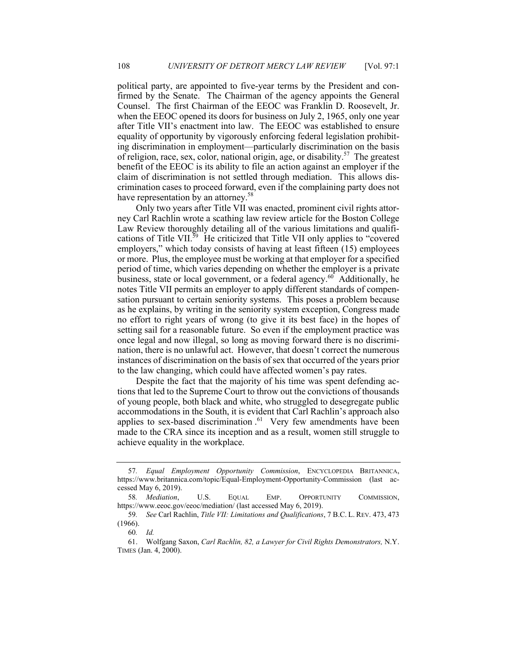political party, are appointed to five-year terms by the President and con- firmed by the Senate. The Chairman of the agency appoints the General Counsel. The first Chairman of the EEOC was Franklin D. Roosevelt, Jr. when the EEOC opened its doors for business on July 2, 1965, only one year after Title VII's enactment into law. The EEOC was established to ensure of religion, race, sex, color, national origin, age, or disability.<sup>57</sup> The greatest benefit of the EEOC is its ability to file an action against an employer if the claim of discrimination is not settled through mediation. This allows dis- crimination cases to proceed forward, even if the complaining party does not have representation by an attorney.<sup>58</sup> equality of opportunity by vigorously enforcing federal legislation prohibiting discrimination in employment—particularly discrimination on the basis

 Only two years after Title VII was enacted, prominent civil rights attor- ney Carl Rachlin wrote a scathing law review article for the Boston College Law Review thoroughly detailing all of the various limitations and qualifications of Title VII.<sup>59</sup> He criticized that Title VII only applies to "covered employers," which today consists of having at least fifteen (15) employees or more. Plus, the employee must be working at that employer for a specified period of time, which varies depending on whether the employer is a private business, state or local government, or a federal [agency.](https://agency.60)<sup>60</sup> Additionally, he notes Title VII permits an employer to apply different standards of compen- sation pursuant to certain seniority systems. This poses a problem because as he explains, by writing in the seniority system exception, Congress made no effort to right years of wrong (to give it its best face) in the hopes of setting sail for a reasonable future. So even if the employment practice was once legal and now illegal, so long as moving forward there is no discrimi- nation, there is no unlawful act. However, that doesn't correct the numerous instances of discrimination on the basis of sex that occurred of the years prior to the law changing, which could have affected women's pay rates.

 Despite the fact that the majority of his time was spent defending ac- tions that led to the Supreme Court to throw out the convictions of thousands of young people, both black and white, who struggled to desegregate public accommodations in the South, it is evident that Carl Rachlin's approach also applies to sex-based discrimination.<sup>61</sup> Very few amendments have been made to the CRA since its inception and as a result, women still struggle to achieve equality in the workplace.

 <https://www.britannica.com/topic/Equal-Employment-Opportunity-Commission>(last ac-57*. Equal Employment Opportunity Commission*, ENCYCLOPEDIA BRITANNICA, cessed May 6, 2019).

<sup>58</sup>*. Mediation*, U.S. EQUAL EMP. OPPORTUNITY COMMISSION, [https://www.eeoc.gov/eeoc/mediation/](https://www.eeoc.gov/eeoc/mediation) (last accessed May 6, 2019).

<sup>59</sup>*. See* Carl Rachlin, *Title VII: Limitations and Qualifications*, 7 B.C. L. REV. 473, 473 (1966).

<sup>60</sup>*. Id.* 

<sup>61.</sup> Wolfgang Saxon, *Carl Rachlin, 82, a Lawyer for Civil Rights Demonstrators,* N.Y. TIMES (Jan. 4, 2000).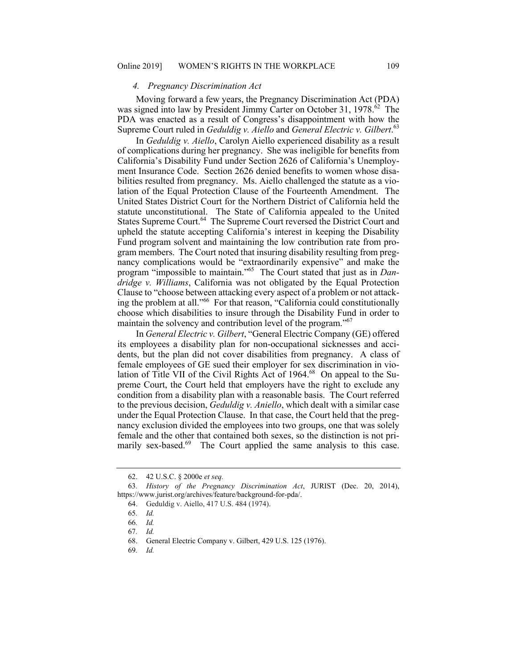#### *4. Pregnancy Discrimination Act*

 Moving forward a few years, the Pregnancy Discrimination Act (PDA) was signed into law by President Jimmy Carter on October 31, 1978.<sup>62</sup> The PDA was enacted as a result of Congress's disappointment with how the Supreme Court ruled in *Geduldig v. Aiello* and *General Electric v. [Gilbert](https://Gilbert.63).*<sup>63</sup>

 In *Geduldig v. Aiello*, Carolyn Aiello experienced disability as a result of complications during her pregnancy. She was ineligible for benefits from California's Disability Fund under Section 2626 of California's Unemploy- ment Insurance Code. Section 2626 denied benefits to women whose disa- bilities resulted from pregnancy. Ms. Aiello challenged the statute as a vio- lation of the Equal Protection Clause of the Fourteenth Amendment. The United States District Court for the Northern District of California held the statute unconstitutional. The State of California appealed to the United States Supreme [Court.](https://Court.64)<sup>64</sup> The Supreme Court reversed the District Court and upheld the statute accepting California's interest in keeping the Disability Fund program solvent and maintaining the low contribution rate from pro- gram members. The Court noted that insuring disability resulting from preg- program "impossible to maintain."65 The Court stated that just as in *Dan-* Clause to "choose between attacking every aspect of a problem or not attack- ing the problem at all."66 For that reason, "California could constitutionally maintain the solvency and contribution level of the program."<sup>67</sup> nancy complications would be "extraordinarily expensive" and make the *dridge v. Williams*, California was not obligated by the Equal Protection choose which disabilities to insure through the Disability Fund in order to

 In *General Electric v. Gilbert*, "General Electric Company (GE) offered its employees a disability plan for non-occupational sicknesses and acci- dents, but the plan did not cover disabilities from pregnancy. A class of female employees of GE sued their employer for sex discrimination in violation of Title VII of the Civil Rights Act of 1964.<sup>68</sup> On appeal to the Su- preme Court, the Court held that employers have the right to exclude any condition from a disability plan with a reasonable basis. The Court referred to the previous decision, *Geduldig v. Aniello*, which dealt with a similar case under the Equal Protection Clause. In that case, the Court held that the preg- nancy exclusion divided the employees into two groups, one that was solely female and the other that contained both sexes, so the distinction is not primarily sex-based.<sup>69</sup> The Court applied the same analysis to this case.

<sup>62. 42</sup> U.S.C. § 2000e *et seq.* 

<sup>63</sup>*. History of the Pregnancy Discrimination Act*, JURIST (Dec. 20, 2014), <https://www.jurist.org/archives/feature/background-for-pda>/.

<sup>64.</sup> Geduldig v. Aiello, 417 U.S. 484 (1974).

<sup>65</sup>*. Id.* 

<sup>66</sup>*. Id.* 

<sup>67</sup>*. Id.* 

<sup>68.</sup> General Electric Company v. Gilbert, 429 U.S. 125 (1976).

<sup>69</sup>*. Id.*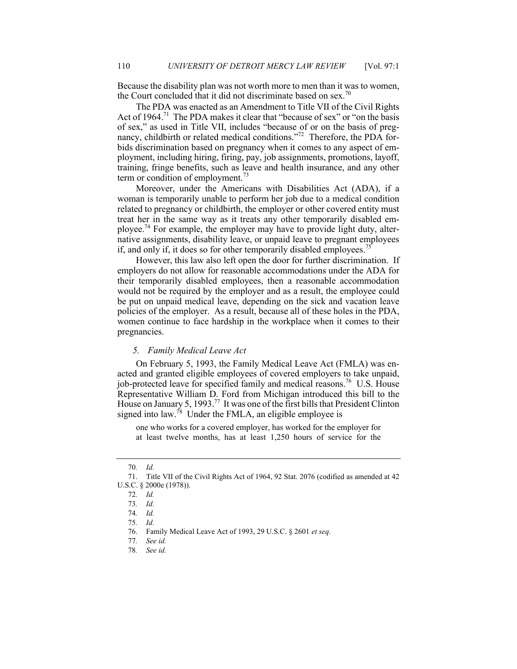Because the disability plan was not worth more to men than it was to women, the Court concluded that it did not discriminate based on sex.<sup>70</sup>

 The PDA was enacted as an Amendment to Title VII of the Civil Rights Act of 1964.<sup>71</sup> The PDA makes it clear that "because of sex" or "on the basis of sex," as used in Title VII, includes "because of or on the basis of pregnancy, childbirth or related medical conditions."<sup>72</sup> Therefore, the PDA for- bids discrimination based on pregnancy when it comes to any aspect of em- ployment, including hiring, firing, pay, job assignments, promotions, layoff, training, fringe benefits, such as leave and health insurance, and any other term or condition of [employment.](https://employment.73)<sup>73</sup>

 Moreover, under the Americans with Disabilities Act (ADA), if a woman is temporarily unable to perform her job due to a medical condition related to pregnancy or childbirth, the employer or other covered entity must treat her in the same way as it treats any other temporarily disabled em[ployee.](https://ployee.74)<sup>74</sup> For example, the employer may have to provide light duty, alter- native assignments, disability leave, or unpaid leave to pregnant employees if, and only if, it does so for other temporarily disabled [employees.](https://employees.75)<sup>75</sup>

 However, this law also left open the door for further discrimination. If employers do not allow for reasonable accommodations under the ADA for their temporarily disabled employees, then a reasonable accommodation would not be required by the employer and as a result, the employee could be put on unpaid medical leave, depending on the sick and vacation leave policies of the employer. As a result, because all of these holes in the PDA, women continue to face hardship in the workplace when it comes to their pregnancies.

# *5. Family Medical Leave Act*

 On February 5, 1993, the Family Medical Leave Act (FMLA) was en- acted and granted eligible employees of covered employers to take unpaid, job-protected leave for specified family and medical reasons.<sup>76</sup> U.S. House Representative William D. Ford from Michigan introduced this bill to the House on January 5, 1993.<sup>77</sup> It was one of the first bills that President Clinton signed into law.<sup>78</sup> Under the FMLA, an eligible employee is

 one who works for a covered employer, has worked for the employer for at least twelve months, has at least 1,250 hours of service for the

<sup>70</sup>*. Id.* 

<sup>71.</sup> Title VII of the Civil Rights Act of 1964, 92 Stat. 2076 (codified as amended at 42 U.S.C. § 2000e (1978)).

<sup>72</sup>*. Id.* 

<sup>73</sup>*. Id.* 

<sup>74</sup>*. Id.* 

<sup>75</sup>*. Id.* 

<sup>76.</sup> Family Medical Leave Act of 1993, 29 U.S.C. § 2601 *et seq.* 

<sup>77</sup>*. See id.* 

<sup>78</sup>*. See id.*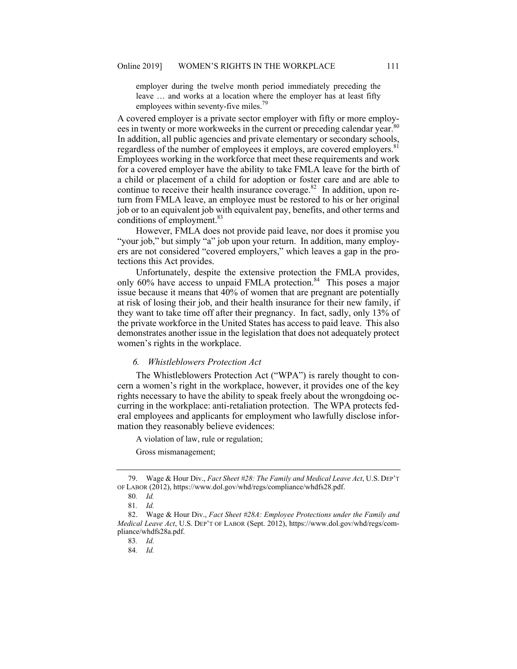employer during the twelve month period immediately preceding the leave … and works at a location where the employer has at least fifty employees within seventy-five miles.<sup>79</sup>

 A covered employer is a private sector employer with fifty or more employees in twenty or more workweeks in the current or preceding calendar year.<sup>80</sup> regardless of the number of employees it employs, are covered [employers.](https://employers.81)<sup>81</sup> Employees working in the workforce that meet these requirements and work for a covered employer have the ability to take FMLA leave for the birth of a child or placement of a child for adoption or foster care and are able to continue to receive their health insurance [coverage.](https://coverage.82)<sup>82</sup> In addition, upon re- turn from FMLA leave, an employee must be restored to his or her original job or to an equivalent job with equivalent pay, benefits, and other terms and conditions of employment.<sup>83</sup> In addition, all public agencies and private elementary or secondary schools,

 However, FMLA does not provide paid leave, nor does it promise you "your job," but simply "a" job upon your return. In addition, many employ- ers are not considered "covered employers," which leaves a gap in the protections this Act provides. tections this Act provides. Unfortunately, despite the extensive protection the FMLA provides,

only 60% have access to unpaid FMLA protection.<sup>84</sup> This poses a major issue because it means that 40% of women that are pregnant are potentially at risk of losing their job, and their health insurance for their new family, if they want to take time off after their pregnancy. In fact, sadly, only 13% of the private workforce in the United States has access to paid leave. This also demonstrates another issue in the legislation that does not adequately protect women's rights in the workplace.

## *6. Whistleblowers Protection Act*

 The Whistleblowers Protection Act ("WPA") is rarely thought to con- cern a women's right in the workplace, however, it provides one of the key rights necessary to have the ability to speak freely about the wrongdoing oc- curring in the workplace: anti-retaliation protection. The WPA protects fed- eral employees and applicants for employment who lawfully disclose information they reasonably believe evidences:

A violation of law, rule or regulation;

Gross mismanagement;

<sup>79.</sup> Wage & Hour Div., *Fact Sheet #28: The Family and Medical Leave Act*, U.S. DEP'T OF LABOR (2012), [https://www.dol.gov/whd/regs/compliance/whdfs28.pdf.](https://www.dol.gov/whd/regs/compliance/whdfs28.pdf)

<sup>80</sup>*. Id.* 

<sup>81</sup>*. Id.* 

 *Medical Leave Act*, U.S. DEP'T OF LABOR (Sept. 2012), <https://www.dol.gov/whd/regs/com>-82. Wage & Hour Div., *Fact Sheet #28A: Employee Protections under the Family and*  pliance/whdfs28a.pdf.

<sup>83</sup>*. Id.* 

<sup>84</sup>*. Id.*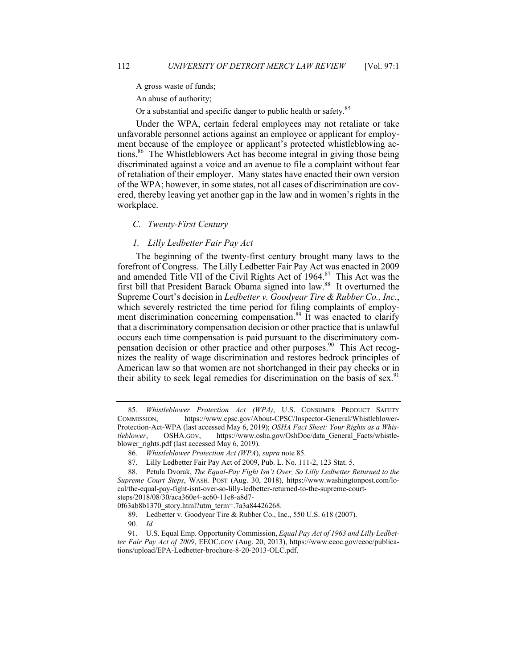A gross waste of funds;

An abuse of authority;

Or a substantial and specific danger to public health or safety.<sup>85</sup>

 Under the WPA, certain federal employees may not retaliate or take unfavorable personnel actions against an employee or applicant for employ- ment because of the employee or applicant's protected whistleblowing ac- [tions.](https://tions.86) 86 The Whistleblowers Act has become integral in giving those being discriminated against a voice and an avenue to file a complaint without fear of retaliation of their employer. Many states have enacted their own version ered, thereby leaving yet another gap in the law and in women's rights in the of the WPA; however, in some states, not all cases of discrimination are covworkplace.

## *C. Twenty-First Century*

## *1. Lilly Ledbetter Fair Pay Act*

 The beginning of the twenty-first century brought many laws to the forefront of Congress. The Lilly Ledbetter Fair Pay Act was enacted in 2009 and amended Title VII of the Civil Rights Act of 1964.<sup>87</sup> This Act was the first bill that President Barack Obama signed into law.<sup>88</sup> It overturned the Supreme Court's decision in *Ledbetter v. Goodyear Tire & Rubber Co., Inc.*, which severely restricted the time period for filing complaints of employment discrimination concerning [compensation.](https://compensation.89)<sup>89</sup> It was enacted to clarify that a discriminatory compensation decision or other practice that is unlawful pensation decision or other practice and other [purposes.](https://purposes.90) 90 This Act recog- nizes the reality of wage discrimination and restores bedrock principles of American law so that women are not shortchanged in their pay checks or in their ability to seek legal remedies for discrimination on the basis of sex.<sup>91</sup> occurs each time compensation is paid pursuant to the discriminatory com-

 Protection-Act-WPA (last accessed May 6, 2019); *OSHA Fact Sheet: Your Rights as a Whis-*85*. Whistleblower Protection Act (WPA)*, U.S. CONSUMER PRODUCT SAFETY COMMISSION, <https://www.cpsc.gov/About-CPSC/Inspector-General/Whistleblower>*tleblower*, [OSHA.GOV,](https://OSHA.GOV) [https://www.osha.gov/OshDoc/data\\_General\\_Facts/whistle](https://www.osha.gov/OshDoc/data_General_Facts/whistle)blower\_rights.pdf (last accessed May 6, 2019).

<sup>86</sup>*. Whistleblower Protection Act (WPA*), *supra* note 85.

<sup>87.</sup> Lilly Ledbetter Fair Pay Act of 2009, Pub. L. No. 111-2, 123 Stat. 5.

 *Supreme Court Steps*, WASH. POST (Aug. 30, 2018), <https://www.washingtonpost.com/lo>-88. Petula Dvorak, *The Equal-Pay Fight Isn't Over, So Lilly Ledbetter Returned to the*  cal/the-equal-pay-fight-isnt-over-so-lilly-ledbetter-returned-to-the-supreme-courtsteps/2018/08/30/aca360e4-ac60-11e8-a8d7-

<sup>0</sup>f63ab8b1370\_story.html?utm\_term=.7a3a84426268.

<sup>89.</sup> Ledbetter v. Goodyear Tire & Rubber Co., Inc., 550 U.S. 618 (2007).

<sup>90</sup>*. Id.* 

 *ter Fair Pay Act of 2009*, [EEOC.GOV](https://EEOC.GOV) (Aug. 20, 2013), <https://www.eeoc.gov/eeoc/publica>-91. U.S. Equal Emp. Opportunity Commission, *Equal Pay Act of 1963 and Lilly Ledbet*tions/upload/EPA-Ledbetter-brochure-8-20-2013-OLC.pdf.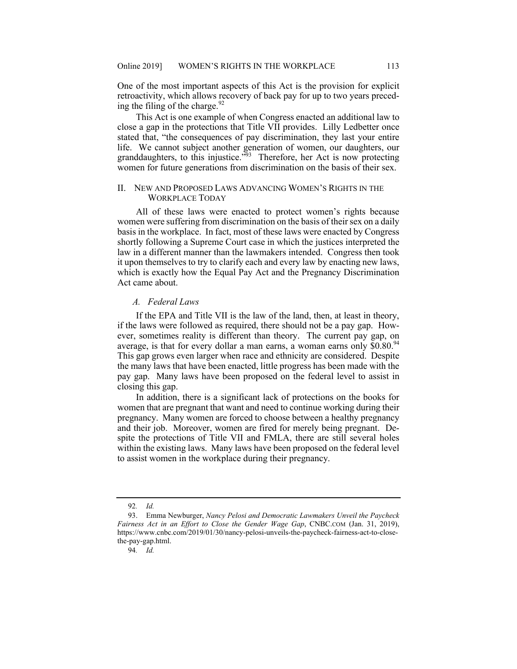One of the most important aspects of this Act is the provision for explicit retroactivity, which allows recovery of back pay for up to two years preceding the filing of the [charge.](https://charge.92) $92$ 

 This Act is one example of when Congress enacted an additional law to close a gap in the protections that Title VII provides. Lilly Ledbetter once stated that, "the consequences of pay discrimination, they last your entire women for future generations from discrimination on the basis of their sex. life. We cannot subject another generation of women, our daughters, our granddaughters, to this injustice."<sup>93</sup> Therefore, her Act is now protecting

# II. NEW AND PROPOSED LAWS ADVANCING WOMEN'S RIGHTS IN THE WORKPLACE TODAY

 All of these laws were enacted to protect women's rights because women were suffering from discrimination on the basis of their sex on a daily basis in the workplace. In fact, most of these laws were enacted by Congress shortly following a Supreme Court case in which the justices interpreted the law in a different manner than the lawmakers intended. Congress then took it upon themselves to try to clarify each and every law by enacting new laws, which is exactly how the Equal Pay Act and the Pregnancy Discrimination Act came about.

## *A. Federal Laws*

 If the EPA and Title VII is the law of the land, then, at least in theory, if the laws were followed as required, there should not be a pay gap. How- ever, sometimes reality is different than theory. The current pay gap, on average, is that for every dollar a man earns, a woman earns only  $$0.80<sup>94</sup>$  This gap grows even larger when race and ethnicity are considered. Despite the many laws that have been enacted, little progress has been made with the pay gap. Many laws have been proposed on the federal level to assist in closing this gap.

 In addition, there is a significant lack of protections on the books for women that are pregnant that want and need to continue working during their pregnancy. Many women are forced to choose between a healthy pregnancy and their job. Moreover, women are fired for merely being pregnant. De- spite the protections of Title VII and FMLA, there are still several holes within the existing laws. Many laws have been proposed on the federal level to assist women in the workplace during their pregnancy.

<sup>92</sup>*. Id.* 

Fairness Act in an Effort to Close the Gender Wage Gap, [CNBC.COM](https://CNBC.COM) (Jan. 31, 2019), 93. Emma Newburger, *Nancy Pelosi and Democratic Lawmakers Unveil the Paycheck*  <https://www.cnbc.com/2019/01/30/nancy-pelosi-unveils-the-paycheck-fairness-act-to-close>the-pay-gap.html.

<sup>94</sup>*. Id.*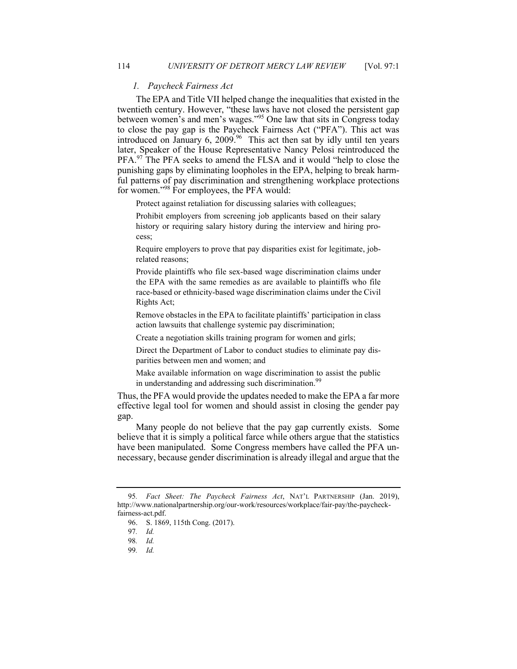## *1. Paycheck Fairness Act*

 The EPA and Title VII helped change the inequalities that existed in the twentieth century. However, "these laws have not closed the persistent gap between women's and men's wages."<sup>95</sup> One law that sits in Congress today to close the pay gap is the Paycheck Fairness Act ("PFA"). This act was introduced on January 6, 2009.<sup>96</sup> This act then sat by idly until ten years later, Speaker of the House Representative Nancy Pelosi reintroduced the PFA.<sup>97</sup> The PFA seeks to amend the FLSA and it would "help to close the punishing gaps by eliminating loopholes in the EPA, helping to break harm- ful patterns of pay discrimination and strengthening workplace protections for women."<sup>98</sup> For employees, the PFA would:

Protect against retaliation for discussing salaries with colleagues;

 Prohibit employers from screening job applicants based on their salary history or requiring salary history during the interview and hiring process;

 Require employers to prove that pay disparities exist for legitimate, jobrelated reasons;

 Provide plaintiffs who file sex-based wage discrimination claims under the EPA with the same remedies as are available to plaintiffs who file race-based or ethnicity-based wage discrimination claims under the Civil Rights Act;

 Remove obstacles in the EPA to facilitate plaintiffs' participation in class action lawsuits that challenge systemic pay discrimination;

Create a negotiation skills training program for women and girls;

 Direct the Department of Labor to conduct studies to eliminate pay dis-parities between men and women; and

 Make available information on wage discrimination to assist the public in understanding and addressing such [discrimination.](https://discrimination.99)<sup>99</sup>

 Thus, the PFA would provide the updates needed to make the EPA a far more effective legal tool for women and should assist in closing the gender pay gap.

 Many people do not believe that the pay gap currently exists. Some believe that it is simply a political farce while others argue that the statistics have been manipulated. Some Congress members have called the PFA un-necessary, because gender discrimination is already illegal and argue that the

<sup>95</sup>*. Fact Sheet: The Paycheck Fairness Act*, NAT'L PARTNERSHIP (Jan. 2019), <http://www.nationalpartnership.org/our-work/resources/workplace/fair-pay/the-paycheck>fairness-act.pdf.

<sup>96.</sup> S. 1869, 115th Cong. (2017).

<sup>97</sup>*. Id.* 

<sup>98</sup>*. Id.* 

<sup>99</sup>*. Id.*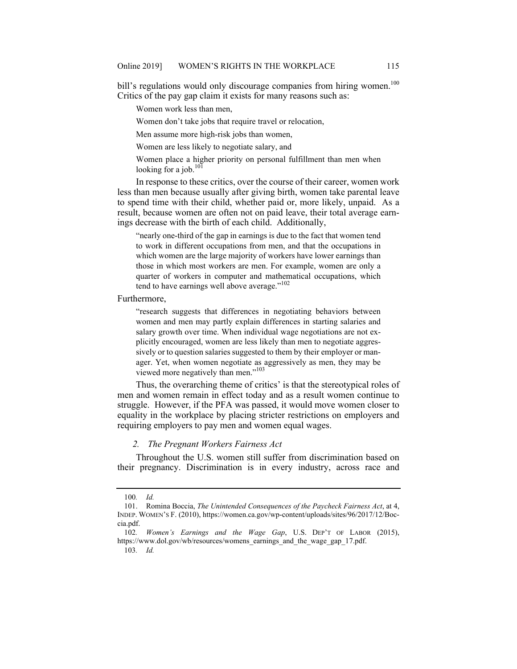bill's regulations would only discourage companies from hiring women.<sup>100</sup> Critics of the pay gap claim it exists for many reasons such as:

Women work less than men,

Women don't take jobs that require travel or relocation,

Men assume more high-risk jobs than women,

Women are less likely to negotiate salary, and

 Women place a higher priority on personal fulfillment than men when looking for a job. $^{101}$ 

 In response to these critics, over the course of their career, women work less than men because usually after giving birth, women take parental leave to spend time with their child, whether paid or, more likely, unpaid. As a result, because women are often not on paid leave, their total average earn-ings decrease with the birth of each child. Additionally,

 "nearly one-third of the gap in earnings is due to the fact that women tend to work in different occupations from men, and that the occupations in which women are the large majority of workers have lower earnings than those in which most workers are men. For example, women are only a quarter of workers in computer and mathematical occupations, which tend to have earnings well above average."<sup>102</sup>

Furthermore,

 women and men may partly explain differences in starting salaries and salary growth over time. When individual wage negotiations are not ex- ager. Yet, when women negotiate as aggressively as men, they may be "research suggests that differences in negotiating behaviors between plicitly encouraged, women are less likely than men to negotiate aggressively or to question salaries suggested to them by their employer or manviewed more negatively than men."<sup>103</sup>

 Thus, the overarching theme of critics' is that the stereotypical roles of men and women remain in effect today and as a result women continue to struggle. However, if the PFA was passed, it would move women closer to equality in the workplace by placing stricter restrictions on employers and requiring employers to pay men and women equal wages.

# *2. The Pregnant Workers Fairness Act*

 Throughout the U.S. women still suffer from discrimination based on their pregnancy. Discrimination is in every industry, across race and

<sup>100</sup>*. Id.* 

<sup>101.</sup> Romina Boccia, *The Unintended Consequences of the Paycheck Fairness Act*, at 4, INDEP. WOMEN'S F. (2010),<https://women.ca.gov/wp-content/uploads/sites/96/2017/12/Boc>cia.pdf.

<sup>102</sup>*. Women's Earnings and the Wage Gap*, U.S. DEP'T OF LABOR (2015), https://www.dol.gov/wb/resources/womens earnings and the wage gap 17.pdf.

<sup>103</sup>*. Id.*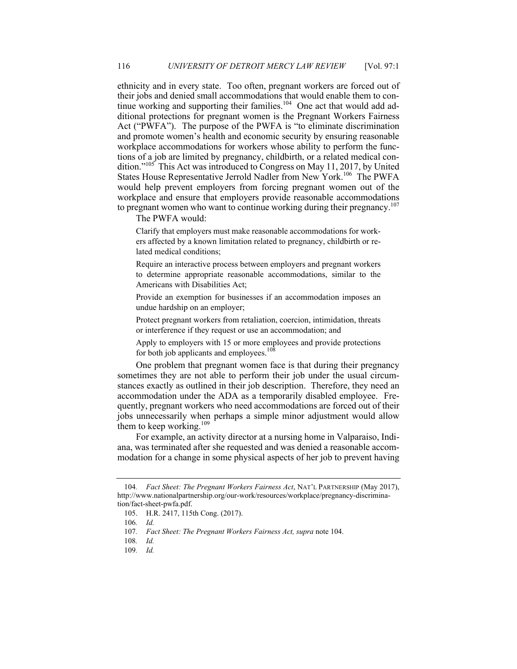ethnicity and in every state. Too often, pregnant workers are forced out of their jobs and denied small accommodations that would enable them to continue working and supporting their families.<sup>104</sup> One act that would add ad- ditional protections for pregnant women is the Pregnant Workers Fairness Act ("PWFA"). The purpose of the PWFA is "to eliminate discrimination and promote women's health and economic security by ensuring reasonable workplace accommodations for workers whose ability to perform the func- tions of a job are limited by pregnancy, childbirth, or a related medical condition."<sup>105</sup> This Act was introduced to Congress on May 11, 2017, by United States House Representative Jerrold Nadler from New York.<sup>106</sup> The PWFA would help prevent employers from forcing pregnant women out of the workplace and ensure that employers provide reasonable accommodations to pregnant women who want to continue working during their pregnancy.<sup>107</sup>

The PWFA would:

 Clarify that employers must make reasonable accommodations for workers affected by a known limitation related to pregnancy, childbirth or related medical conditions;

 to determine appropriate reasonable accommodations, similar to the Americans with Disabilities Act; Require an interactive process between employers and pregnant workers

 Provide an exemption for businesses if an accommodation imposes an undue hardship on an employer;

 Protect pregnant workers from retaliation, coercion, intimidation, threats or interference if they request or use an accommodation; and

 Apply to employers with 15 or more employees and provide protections for both job applicants and employees.<sup>108</sup>

 One problem that pregnant women face is that during their pregnancy sometimes they are not able to perform their job under the usual circum- stances exactly as outlined in their job description. Therefore, they need an accommodation under the ADA as a temporarily disabled employee. Fre- quently, pregnant workers who need accommodations are forced out of their jobs unnecessarily when perhaps a simple minor adjustment would allow them to keep working.<sup>109</sup>

 For example, an activity director at a nursing home in Valparaiso, Indi- ana, was terminated after she requested and was denied a reasonable accom-modation for a change in some physical aspects of her job to prevent having

<sup>104</sup>*. Fact Sheet: The Pregnant Workers Fairness Act*, NAT'L PARTNERSHIP (May 2017), <http://www.nationalpartnership.org/our-work/resources/workplace/pregnancy-discrimina>tion/fact-sheet-pwfa.pdf.

<sup>105.</sup> H.R. 2417, 115th Cong. (2017).

<sup>106</sup>*. Id.* 

<sup>107</sup>*. Fact Sheet: The Pregnant Workers Fairness Act, supra* note 104.

<sup>108</sup>*. Id.* 

<sup>109</sup>*. Id.*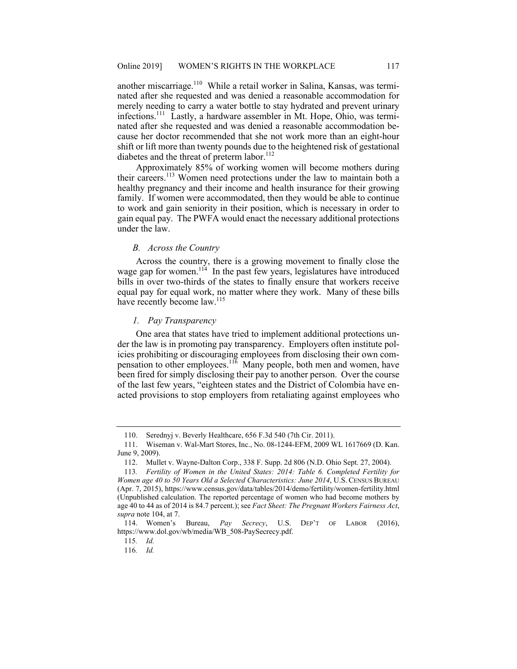another miscarriage.<sup>110</sup> While a retail worker in Salina, Kansas, was termi- merely needing to carry a water bottle to stay hydrated and prevent urinary infections.111 Lastly, a hardware assembler in Mt. Hope, Ohio, was termi- nated after she requested and was denied a reasonable accommodation be- cause her doctor recommended that she not work more than an eight-hour nated after she requested and was denied a reasonable accommodation for shift or lift more than twenty pounds due to the heightened risk of gestational diabetes and the threat of preterm labor.<sup>112</sup>

 Approximately 85% of working women will become mothers during their careers.<sup>113</sup> Women need protections under the law to maintain both a healthy pregnancy and their income and health insurance for their growing family. If women were accommodated, then they would be able to continue to work and gain seniority in their position, which is necessary in order to gain equal pay. The PWFA would enact the necessary additional protections under the law.

## *B. Across the Country*

 Across the country, there is a growing movement to finally close the wage gap for women.<sup>114</sup> In the past few years, legislatures have introduced bills in over two-thirds of the states to finally ensure that workers receive equal pay for equal work, no matter where they work. Many of these bills have recently become law.<sup>115</sup>

## *1. Pay Transparency*

 One area that states have tried to implement additional protections un- der the law is in promoting pay transparency. Employers often institute pol- icies prohibiting or discouraging employees from disclosing their own compensation to other employees.<sup>116</sup> Many people, both men and women, have been fired for simply disclosing their pay to another person. Over the course of the last few years, "eighteen states and the District of Colombia have en-acted provisions to stop employers from retaliating against employees who

<sup>110.</sup> Serednyj v. Beverly Healthcare, 656 F.3d 540 (7th Cir. 2011).

<sup>111.</sup> Wiseman v. Wal-Mart Stores, Inc., No. 08-1244-EFM, 2009 WL 1617669 (D. Kan. June 9, 2009).

<sup>112.</sup> Mullet v. Wayne-Dalton Corp., 338 F. Supp. 2d 806 (N.D. Ohio Sept. 27, 2004).

 *Women age 40 to 50 Years Old a Selected Characteristics: June 2014*, U.S. CENSUS BUREAU (Unpublished calculation. The reported percentage of women who had become mothers by age 40 to 44 as of 2014 is 84.7 percent.); see *Fact Sheet: The Pregnant Workers Fairness Act*, 113*. Fertility of Women in the United States: 2014: Table 6. Completed Fertility for*  (Apr. 7, 2015),<https://www.census.gov/data/tables/2014/demo/fertility/women-fertility.html> *supra* note 104, at 7.

<sup>114.</sup> Women's Bureau, *Pay Secrecy*, U.S. DEP'T OF LABOR (2016), [https://www.dol.gov/wb/media/WB\\_508-PaySecrecy.pdf](https://www.dol.gov/wb/media/WB_508-PaySecrecy.pdf).

<sup>115</sup>*. Id.* 

<sup>116</sup>*. Id.*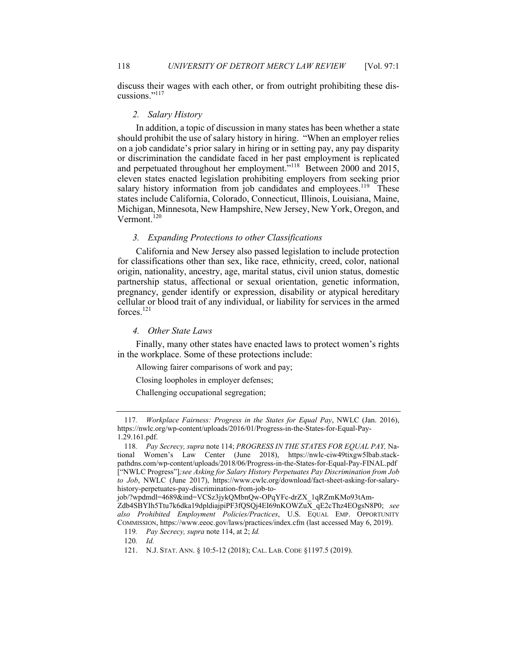discuss their wages with each other, or from outright prohibiting these discussions."117

#### *2. Salary History*

 In addition, a topic of discussion in many states has been whether a state should prohibit the use of salary history in hiring. "When an employer relies on a job candidate's prior salary in hiring or in setting pay, any pay disparity or discrimination the candidate faced in her past employment is replicated and perpetuated throughout her employment."<sup>118</sup> Between 2000 and 2015, eleven states enacted legislation prohibiting employers from seeking prior salary history information from job candidates and employees.<sup>119</sup> These Michigan, Minnesota, New Hampshire, New Jersey, New York, Oregon, and states include California, Colorado, Connecticut, Illinois, Louisiana, Maine, Vermont.<sup>120</sup>

## *3. Expanding Protections to other Classifications*

 California and New Jersey also passed legislation to include protection for classifications other than sex, like race, ethnicity, creed, color, national origin, nationality, ancestry, age, marital status, civil union status, domestic pregnancy, gender identify or expression, disability or atypical hereditary forces.<sup>121</sup> partnership status, affectional or sexual orientation, genetic information, cellular or blood trait of any individual, or liability for services in the armed

## *4. Other State Laws*

 Finally, many other states have enacted laws to protect women's rights in the workplace. Some of these protections include:

Allowing fairer comparisons of work and pay;

Closing loopholes in employer defenses;

Challenging occupational segregation;

<sup>117</sup>*. Workplace Fairness: Progress in the States for Equal Pay*, NWLC (Jan. 2016), <https://nwlc.org/wp-content/uploads/2016/01/Progress-in-the-States-for-Equal-Pay>-1.29.161.pdf.

 tional Women's Law Center (June 2018), <https://nwlc-ciw49tixgw5lbab.stack>- ["NWLC Progress"]*;see Asking for Salary History Perpetuates Pay Discrimination from Job*  118*. Pay Secrecy, supra* note 114; *PROGRESS IN THE STATES FOR EQUAL PAY,* Na[pathdns.com/wp-content/uploads/2018/06/Progress-in-the-States-for-Equal-Pay-FINAL.pdf](https://pathdns.com/wp-content/uploads/2018/06/Progress-in-the-States-for-Equal-Pay-FINAL.pdf) *to Job*, NWLC (June 2017), <https://www.cwlc.org/download/fact-sheet-asking-for-salary>history-perpetuates-pay-discrimination-from-job-to-

job/?wpdmdl=4689&ind=VCSz3jykQMbnQw-OPqYFc-drZX\_1qRZmKMo93tAm-Zdb4SBYIh5Ttu7k6dka19dpldiajpiPF3fQSQj4EI69nKOWZuX\_qE2cThz4EOgsN8P0; *see also Prohibited Employment Policies/Practices*, U.S. EQUAL EMP. OPPORTUNITY COMMISSION, <https://www.eeoc.gov/laws/practices/index.cfm>(last accessed May 6, 2019).

<sup>119</sup>*. Pay Secrecy, supra* note 114, at 2; *Id.* 

<sup>120</sup>*. Id.* 

<sup>121.</sup> N.J. STAT. ANN. § 10:5-12 (2018); CAL. LAB. CODE §1197.5 (2019).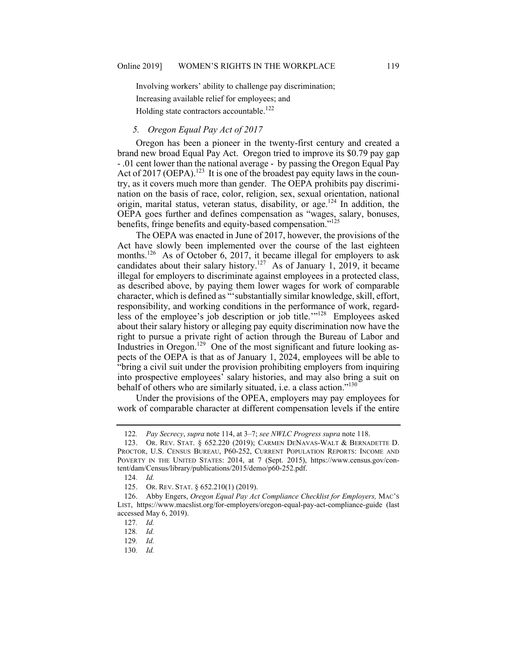Involving workers' ability to challenge pay discrimination; Increasing available relief for employees; and Holding state contractors accountable.<sup>122</sup>

# *5. Oregon Equal Pay Act of 2017*

 Oregon has been a pioneer in the twenty-first century and created a brand new broad Equal Pay Act. Oregon tried to improve its \$0.79 pay gap - .01 cent lower than the national average - by passing the Oregon Equal Pay Act of 2017 (OEPA).<sup>123</sup> It is one of the broadest pay equity laws in the coun- try, as it covers much more than gender. The OEPA prohibits pay discrimi- nation on the basis of race, color, religion, sex, sexual orientation, national origin, marital status, veteran status, disability, or age.<sup>124</sup> In addition, the OEPA goes further and defines compensation as "wages, salary, bonuses, benefits, fringe benefits and equity-based compensation."<sup>125</sup>

 The OEPA was enacted in June of 2017, however, the provisions of the Act have slowly been implemented over the course of the last eighteen months.<sup>126</sup> As of October 6, 2017, it became illegal for employers to ask candidates about their salary history.<sup>127</sup> As of January 1, 2019, it became illegal for employers to discriminate against employees in a protected class, as described above, by paying them lower wages for work of comparable character, which is defined as "'substantially similar knowledge, skill, effort, responsibility, and working conditions in the performance of work, regardless of the employee's job description or job title."<sup>128</sup> Employees asked about their salary history or alleging pay equity discrimination now have the right to pursue a private right of action through the Bureau of Labor and Industries in Oregon.<sup>129</sup> One of the most significant and future looking as- pects of the OEPA is that as of January 1, 2024, employees will be able to "bring a civil suit under the provision prohibiting employers from inquiring into prospective employees' salary histories, and may also bring a suit on behalf of others who are similarly situated, i.e. a class action."<sup>130</sup>

 Under the provisions of the OPEA, employers may pay employees for work of comparable character at different compensation levels if the entire

<sup>122</sup>*. Pay Secrecy*, *supra* note 114, at 3–7; *see NWLC Progress supra* note 118.

 PROCTOR, U.S. CENSUS BUREAU, P60-252, CURRENT POPULATION REPORTS: INCOME AND 123. OR. REV. STAT. § 652.220 (2019); CARMEN DENAVAS-WALT & BERNADETTE D. POVERTY IN THE UNITED STATES: 2014, at 7 (Sept. 2015), <https://www.census.gov/con>tent/dam/Census/library/publications/2015/demo/p60-252.pdf.

<sup>124</sup>*. Id.* 

<sup>125.</sup> OR. REV. STAT. § 652.210(1) (2019).

 LIST, <https://www.macslist.org/for-employers/oregon-equal-pay-act-compliance-guide>(last 126. Abby Engers, *Oregon Equal Pay Act Compliance Checklist for Employers,* MAC'S accessed May 6, 2019).

<sup>127</sup>*. Id.* 

<sup>128</sup>*. Id.* 

<sup>129</sup>*. Id.* 

<sup>130</sup>*. Id.*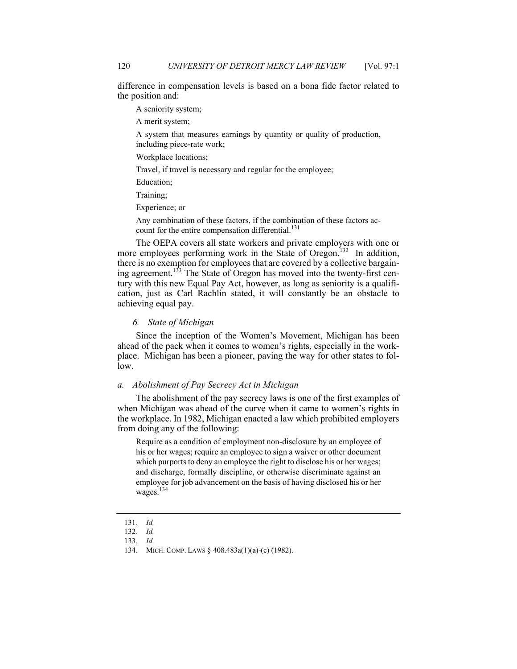difference in compensation levels is based on a bona fide factor related to the position and:

A seniority system;

A merit system;

 A system that measures earnings by quantity or quality of production, including piece-rate work;

Workplace locations;

Travel, if travel is necessary and regular for the employee;

Education;

Training;

Experience; or

Any combination of these factors, if the combination of these factors account for the entire compensation differential.<sup>131</sup>

 The OEPA covers all state workers and private employers with one or more employees performing work in the State of Oregon.<sup>132</sup> In addition, there is no exemption for employees that are covered by a collective bargaining agreement.<sup>133</sup> The State of Oregon has moved into the twenty-first cen- tury with this new Equal Pay Act, however, as long as seniority is a qualifi- cation, just as Carl Rachlin stated, it will constantly be an obstacle to achieving equal pay.

#### *6. State of Michigan*

 Since the inception of the Women's Movement, Michigan has been ahead of the pack when it comes to women's rights, especially in the work- place. Michigan has been a pioneer, paving the way for other states to follow.

## *a. Abolishment of Pay Secrecy Act in Michigan*

 The abolishment of the pay secrecy laws is one of the first examples of when Michigan was ahead of the curve when it came to women's rights in the workplace. In 1982, Michigan enacted a law which prohibited employers from doing any of the following:

 Require as a condition of employment non-disclosure by an employee of his or her wages; require an employee to sign a waiver or other document which purports to deny an employee the right to disclose his or her wages; and discharge, formally discipline, or otherwise discriminate against an employee for job advancement on the basis of having disclosed his or her  $wages.<sup>134</sup>$ 

<sup>131</sup>*. Id.* 

<sup>132</sup>*. Id.* 

<sup>133</sup>*. Id.* 

<sup>134.</sup> MICH. COMP. LAWS § 408.483a(1)(a)-(c) (1982).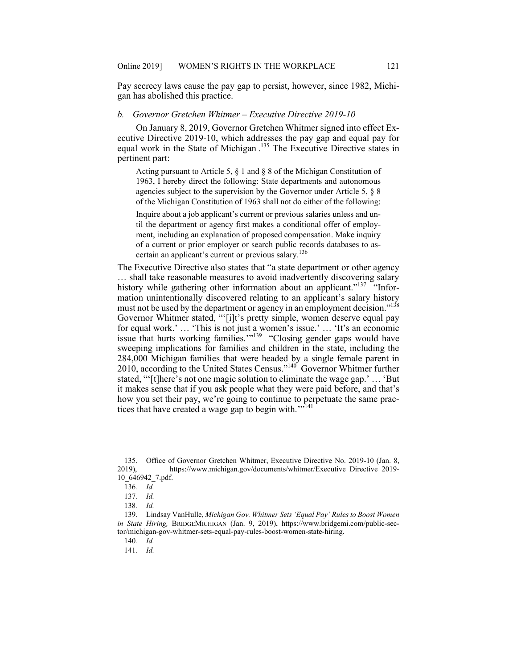Pay secrecy laws cause the pay gap to persist, however, since 1982, Michi-gan has abolished this practice.

## *b. Governor Gretchen Whitmer – Executive Directive 2019-10*

 On January 8, 2019, Governor Gretchen Whitmer signed into effect Executive Directive 2019-10, which addresses the pay gap and equal pay for equal work in the State of Michigan . 135 The Executive Directive states in pertinent part:

 Acting pursuant to Article 5, § 1 and § 8 of the Michigan Constitution of 1963, I hereby direct the following: State departments and autonomous of the Michigan Constitution of 1963 shall not do either of the following: agencies subject to the supervision by the Governor under Article 5, § 8

 til the department or agency first makes a conditional offer of employ- ment, including an explanation of proposed compensation. Make inquiry of a current or prior employer or search public records databases to as-Inquire about a job applicant's current or previous salaries unless and uncertain an applicant's current or previous salary.<sup>136</sup>

 The Executive Directive also states that "a state department or other agency … shall take reasonable measures to avoid inadvertently discovering salary history while gathering other information about an applicant."<sup>137</sup> "Infor- mation unintentionally discovered relating to an applicant's salary history must not be used by the department or agency in an employment decision."<sup>138</sup> Governor Whitmer stated, "'[i]t's pretty simple, women deserve equal pay for equal work.' … 'This is not just a women's issue.' … 'It's an economic issue that hurts working families."<sup>139</sup> "Closing gender gaps would have sweeping implications for families and children in the state, including the stated, "'[t]here's not one magic solution to eliminate the wage gap.' … 'But it makes sense that if you ask people what they were paid before, and that's how you set their pay, we're going to continue to perpetuate the same prac-284,000 Michigan families that were headed by a single female parent in 2010, according to the United States Census."<sup>140</sup> Governor Whitmer further tices that have created a wage gap to begin with.<sup>'"141</sup>

<sup>135.</sup> Office of Governor Gretchen Whitmer, Executive Directive No. 2019-10 (Jan. 8, 2019), [https://www.michigan.gov/documents/whitmer/Executive\\_Directive\\_2019](https://www.michigan.gov/documents/whitmer/Executive_Directive_2019)- 10\_646942\_7.pdf.

<sup>136</sup>*. Id.* 

<sup>137</sup>*. Id.* 

<sup>138</sup>*. Id.* 

<sup>139.</sup> Lindsay VanHulle, *Michigan Gov. Whitmer Sets 'Equal Pay' Rules to Boost Women in State Hiring,* BRIDGEMICHIGAN (Jan. 9, 2019), <https://www.bridgemi.com/public-sec>tor/michigan-gov-whitmer-sets-equal-pay-rules-boost-women-state-hiring.

<sup>140</sup>*. Id.* 

<sup>141</sup>*. Id.*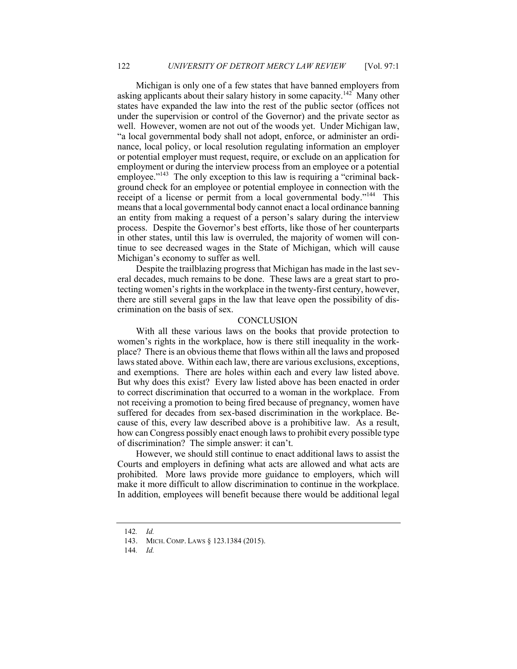Michigan is only one of a few states that have banned employers from asking applicants about their salary history in some capacity.<sup>142</sup> Many other states have expanded the law into the rest of the public sector (offices not under the supervision or control of the Governor) and the private sector as well. However, women are not out of the woods yet. Under Michigan law, nance, local policy, or local resolution regulating information an employer or potential employer must request, require, or exclude on an application for employment or during the interview process from an employee or a potential employee."<sup>143</sup> The only exception to this law is requiring a "criminal back- ground check for an employee or potential employee in connection with the receipt of a license or permit from a local governmental body."<sup>144</sup> This means that a local governmental body cannot enact a local ordinance banning an entity from making a request of a person's salary during the interview process. Despite the Governor's best efforts, like those of her counterparts in other states, until this law is overruled, the majority of women will con- tinue to see decreased wages in the State of Michigan, which will cause Michigan's economy to suffer as well. "a local governmental body shall not adopt, enforce, or administer an ordi-

 Despite the trailblazing progress that Michigan has made in the last sev- eral decades, much remains to be done. These laws are a great start to pro- tecting women's rights in the workplace in the twenty-first century, however, there are still several gaps in the law that leave open the possibility of dis-crimination on the basis of sex.

#### CONCLUSION

 With all these various laws on the books that provide protection to women's rights in the workplace, how is there still inequality in the work- place? There is an obvious theme that flows within all the laws and proposed laws stated above. Within each law, there are various exclusions, exceptions, and exemptions. There are holes within each and every law listed above. But why does this exist? Every law listed above has been enacted in order to correct discrimination that occurred to a woman in the workplace. From not receiving a promotion to being fired because of pregnancy, women have cause of this, every law described above is a prohibitive law. As a result, how can Congress possibly enact enough laws to prohibit every possible type of discrimination? The simple answer: it can't. suffered for decades from sex-based discrimination in the workplace. Be-

 However, we should still continue to enact additional laws to assist the Courts and employers in defining what acts are allowed and what acts are prohibited. More laws provide more guidance to employers, which will make it more difficult to allow discrimination to continue in the workplace. In addition, employees will benefit because there would be additional legal

<sup>142</sup>*. Id.* 

<sup>143.</sup> MICH. COMP. LAWS § 123.1384 (2015).

<sup>144</sup>*. Id.*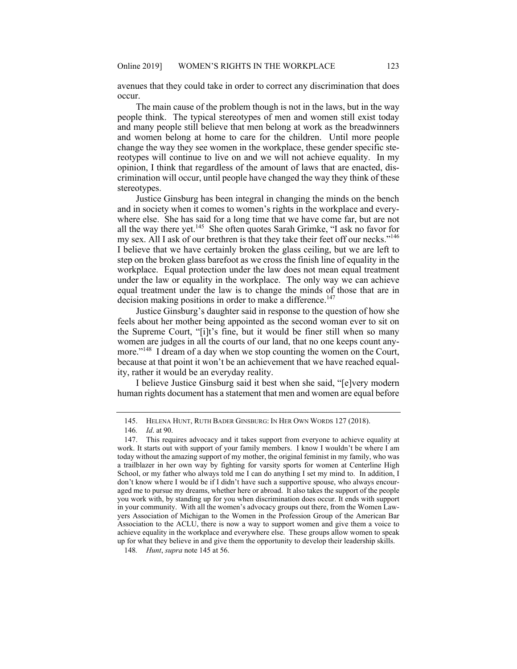avenues that they could take in order to correct any discrimination that does occur.

 The main cause of the problem though is not in the laws, but in the way people think. The typical stereotypes of men and women still exist today and many people still believe that men belong at work as the breadwinners and women belong at home to care for the children. Until more people reotypes will continue to live on and we will not achieve equality. In my opinion, I think that regardless of the amount of laws that are enacted, dis- crimination will occur, until people have changed the way they think of these stereotypes. stereotypes. Justice Ginsburg has been integral in changing the minds on the bench change the way they see women in the workplace, these gender specific ste-

 and in society when it comes to women's rights in the workplace and every- where else. She has said for a long time that we have come far, but are not all the way there yet.<sup>145</sup> She often quotes Sarah Grimke, "I ask no favor for my sex. All I ask of our brethren is that they take their feet off our necks."<sup>146</sup> I believe that we have certainly broken the glass ceiling, but we are left to step on the broken glass barefoot as we cross the finish line of equality in the workplace. Equal protection under the law does not mean equal treatment under the law or equality in the workplace. The only way we can achieve equal treatment under the law is to change the minds of those that are in decision making positions in order to make a difference.<sup>147</sup>

 Justice Ginsburg's daughter said in response to the question of how she feels about her mother being appointed as the second woman ever to sit on the Supreme Court, "[i]t's fine, but it would be finer still when so many women are judges in all the courts of our land, that no one keeps count anymore."<sup>148</sup> I dream of a day when we stop counting the women on the Court, because at that point it won't be an achievement that we have reached equal-ity, rather it would be an everyday reality.

 I believe Justice Ginsburg said it best when she said, "[e]very modern human rights document has a statement that men and women are equal before

<sup>145.</sup> HELENA HUNT, RUTH BADER GINSBURG: IN HER OWN WORDS 127 (2018).

<sup>146</sup>*. Id*. at 90.

 work. It starts out with support of your family members. I know I wouldn't be where I am today without the amazing support of my mother, the original feminist in my family, who was a trailblazer in her own way by fighting for varsity sports for women at Centerline High School, or my father who always told me I can do anything I set my mind to. In addition, I don't know where I would be if I didn't have such a supportive spouse, who always encour- aged me to pursue my dreams, whether here or abroad. It also takes the support of the people you work with, by standing up for you when discrimination does occur. It ends with support in your community. With all the women's advocacy groups out there, from the Women Law- yers Association of Michigan to the Women in the Profession Group of the American Bar Association to the ACLU, there is now a way to support women and give them a voice to achieve equality in the workplace and everywhere else. These groups allow women to speak 147. This requires advocacy and it takes support from everyone to achieve equality at up for what they believe in and give them the opportunity to develop their leadership skills.

<sup>148</sup>*. Hunt*, *supra* note 145 at 56.